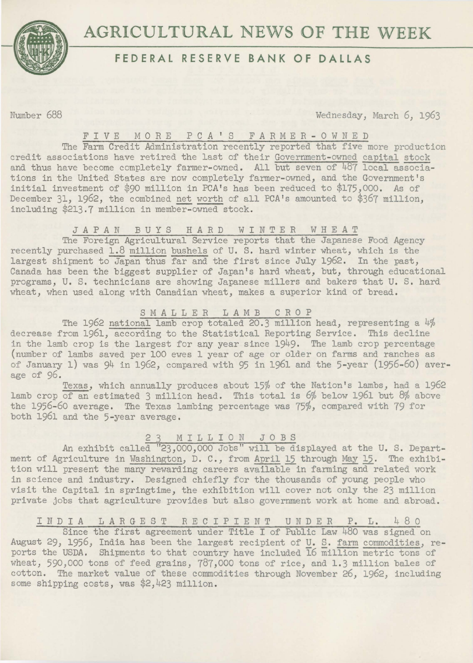

# **AGRICULTURAL NEWS OF THE WEEK**

## **FEDERAL RESERVE BANK OF DALLAS**

Number 688 Wednesday, March 6, 1963

#### FIVE MORE P C A ' S F A R M E R - O W N E D

The Farm Credit Administration recently reported that five more production credit associations have retired the last of their Government-owned capital stock and thus have become completely farmer-owned. All but seven of 487 local associations in the United States are now completely farmer-owned, and the Government's initial investment of \$90 million in PCA's has been reduced to \$175,000. As of December 31, 1962, the combined net worth of all PCA's amounted to \$367 million, including \$213.7 million in member-owned stock.

#### JAPAN BUYS HARD WINTER WHEAT

The Foreign Agricultural Service reports that the Japanese Food Agency recently purchased 1.8 million bushels of U. S. hard winter wheat, which is the largest shipment to Japan thus far and the first since July 1962. In the past, Canada has been the biggest supplier of Japan's hard wheat, but, through educational programs, U. S. technicians are showing Japanese millers and bakers that U. S. hard wheat, when used along with Canadian wheat, makes a superior kind of bread.

#### SMALLER LAMB CROP

The 1962 national lamb crop totaled 20.3 million head, representing a 4% decrease from 1961, according to the Statistical Reporting Service. This decline in the lamb crop is the largest for any year since 1949. The lamb crop percentage (number of lambs saved per 100 ewes 1 year of age or older on farms and ranches as of January 1) was 94 in 1962, compared with 95 in 1961 and the 5-year (1956-60) average of 96.

Texas, which annually produces about 15% of the Nation's lambs, had a 1962 lamb crop of an estimated 3 million head. This total is 6% below 1961 but 8% above the 1956-60 average. The Texas lambing percentage was 75%, compared with 79 for both 1961 and the 5-year average.

#### 2 3 M I L L I 0 N J 0 *B* S

An exhibit called "23,000,000 Jobs" will be displayed at the U. S. Department of Agriculture in Washington, D. C., from April 15 through May 15. The exhibition will present the many rewarding careers available in farming and related work in science and industry. Designed chiefly for the thousands of young people who visit the Capital in springtime, the exhibition will cover not only the 23 million private jobs that agriculture provides but also government work at home and abroad.

### IND I *A* LARGE S T REC IP IE NT UNDER P. L. 4 8 0

Since the first agreement under Title I of Public Law 480 was signed on August 29, 1956, India has been the largest recipient of U. S. farm commodities, reports the USDA. Shipments to that country have included 16 million metric tons of wheat, 590,000 tons of feed grains, 787,000 tons of rice, and 1.3 million bales of cotton. The market value of these commodities through November 26, 1962, including some shipping costs, was \$2,423 million.